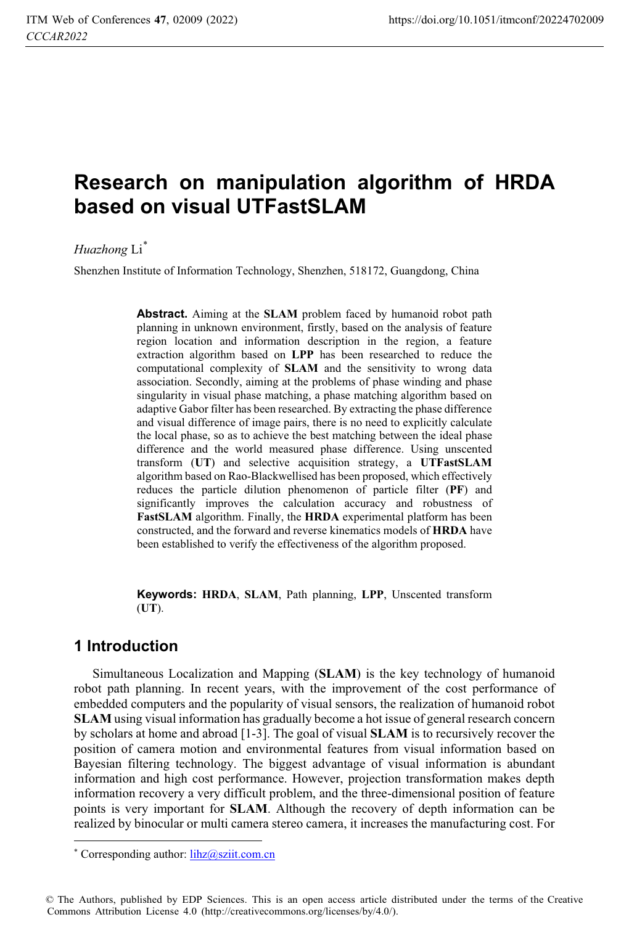# **Research on manipulation algorithm of HRDA based on visual UTFastSLAM**

*Huazhong* Li\*

Shenzhen Institute of Information Technology, Shenzhen, 518172, Guangdong, China

**Abstract.** Aiming at the **SLAM** problem faced by humanoid robot path planning in unknown environment, firstly, based on the analysis of feature region location and information description in the region, a feature extraction algorithm based on **LPP** has been researched to reduce the computational complexity of **SLAM** and the sensitivity to wrong data association. Secondly, aiming at the problems of phase winding and phase singularity in visual phase matching, a phase matching algorithm based on adaptive Gabor filter has been researched. By extracting the phase difference and visual difference of image pairs, there is no need to explicitly calculate the local phase, so as to achieve the best matching between the ideal phase difference and the world measured phase difference. Using unscented transform (**UT**) and selective acquisition strategy, a **UTFastSLAM** algorithm based on Rao-Blackwellised has been proposed, which effectively reduces the particle dilution phenomenon of particle filter (**PF**) and significantly improves the calculation accuracy and robustness of **FastSLAM** algorithm. Finally, the **HRDA** experimental platform has been constructed, and the forward and reverse kinematics models of **HRDA** have been established to verify the effectiveness of the algorithm proposed.

**Keywords: HRDA**, **SLAM**, Path planning, **LPP**, Unscented transform (**UT**).

# **1 Introduction**

 $\overline{a}$ 

Simultaneous Localization and Mapping (**SLAM**) is the key technology of humanoid robot path planning. In recent years, with the improvement of the cost performance of embedded computers and the popularity of visual sensors, the realization of humanoid robot **SLAM** using visual information has gradually become a hot issue of general research concern by scholars at home and abroad [1-3]. The goal of visual **SLAM** is to recursively recover the position of camera motion and environmental features from visual information based on Bayesian filtering technology. The biggest advantage of visual information is abundant information and high cost performance. However, projection transformation makes depth information recovery a very difficult problem, and the three-dimensional position of feature points is very important for **SLAM**. Although the recovery of depth information can be realized by binocular or multi camera stereo camera, it increases the manufacturing cost. For

<sup>\*</sup> Corresponding author: *lihz@sziit.com.cn* 

<sup>©</sup> The Authors, published by EDP Sciences. This is an open access article distributed under the terms of the Creative Commons Attribution License 4.0 (http://creativecommons.org/licenses/by/4.0/).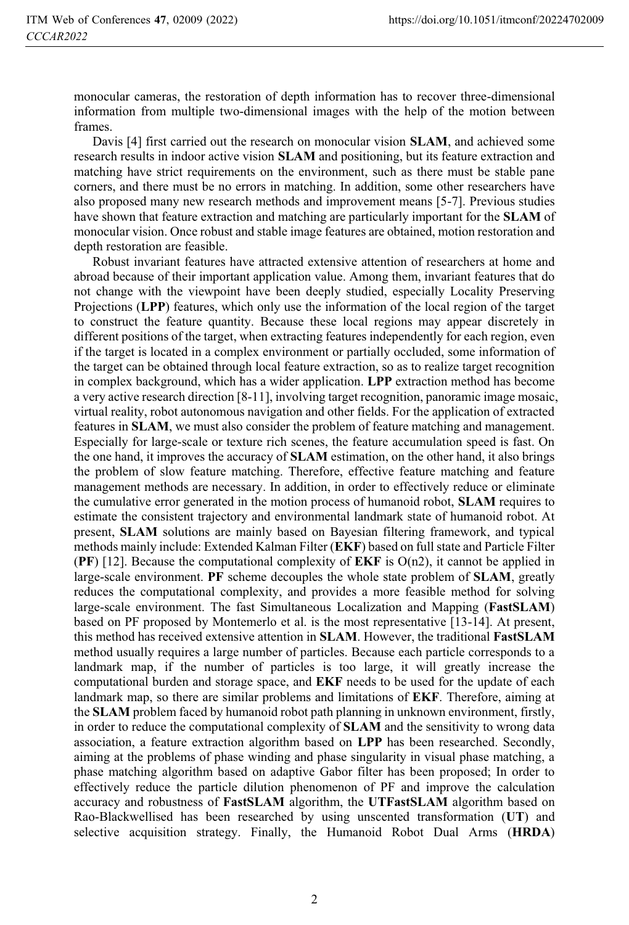monocular cameras, the restoration of depth information has to recover three-dimensional information from multiple two-dimensional images with the help of the motion between frames.

Davis [4] first carried out the research on monocular vision **SLAM**, and achieved some research results in indoor active vision **SLAM** and positioning, but its feature extraction and matching have strict requirements on the environment, such as there must be stable pane corners, and there must be no errors in matching. In addition, some other researchers have also proposed many new research methods and improvement means [5-7]. Previous studies have shown that feature extraction and matching are particularly important for the **SLAM** of monocular vision. Once robust and stable image features are obtained, motion restoration and depth restoration are feasible.

Robust invariant features have attracted extensive attention of researchers at home and abroad because of their important application value. Among them, invariant features that do not change with the viewpoint have been deeply studied, especially Locality Preserving Projections (**LPP**) features, which only use the information of the local region of the target to construct the feature quantity. Because these local regions may appear discretely in different positions of the target, when extracting features independently for each region, even if the target is located in a complex environment or partially occluded, some information of the target can be obtained through local feature extraction, so as to realize target recognition in complex background, which has a wider application. **LPP** extraction method has become a very active research direction [8-11], involving target recognition, panoramic image mosaic, virtual reality, robot autonomous navigation and other fields. For the application of extracted features in **SLAM**, we must also consider the problem of feature matching and management. Especially for large-scale or texture rich scenes, the feature accumulation speed is fast. On the one hand, it improves the accuracy of **SLAM** estimation, on the other hand, it also brings the problem of slow feature matching. Therefore, effective feature matching and feature management methods are necessary. In addition, in order to effectively reduce or eliminate the cumulative error generated in the motion process of humanoid robot, **SLAM** requires to estimate the consistent trajectory and environmental landmark state of humanoid robot. At present, **SLAM** solutions are mainly based on Bayesian filtering framework, and typical methods mainly include: Extended Kalman Filter (**EKF**) based on full state and Particle Filter **(PF)** [12]. Because the computational complexity of **EKF** is  $O(n2)$ , it cannot be applied in large-scale environment. **PF** scheme decouples the whole state problem of **SLAM**, greatly reduces the computational complexity, and provides a more feasible method for solving large-scale environment. The fast Simultaneous Localization and Mapping (**FastSLAM**) based on PF proposed by Montemerlo et al. is the most representative [13-14]. At present, this method has received extensive attention in **SLAM**. However, the traditional **FastSLAM** method usually requires a large number of particles. Because each particle corresponds to a landmark map, if the number of particles is too large, it will greatly increase the computational burden and storage space, and **EKF** needs to be used for the update of each landmark map, so there are similar problems and limitations of **EKF**. Therefore, aiming at the **SLAM** problem faced by humanoid robot path planning in unknown environment, firstly, in order to reduce the computational complexity of **SLAM** and the sensitivity to wrong data association, a feature extraction algorithm based on **LPP** has been researched. Secondly, aiming at the problems of phase winding and phase singularity in visual phase matching, a phase matching algorithm based on adaptive Gabor filter has been proposed; In order to effectively reduce the particle dilution phenomenon of PF and improve the calculation accuracy and robustness of **FastSLAM** algorithm, the **UTFastSLAM** algorithm based on Rao-Blackwellised has been researched by using unscented transformation (**UT**) and selective acquisition strategy. Finally, the Humanoid Robot Dual Arms (**HRDA**)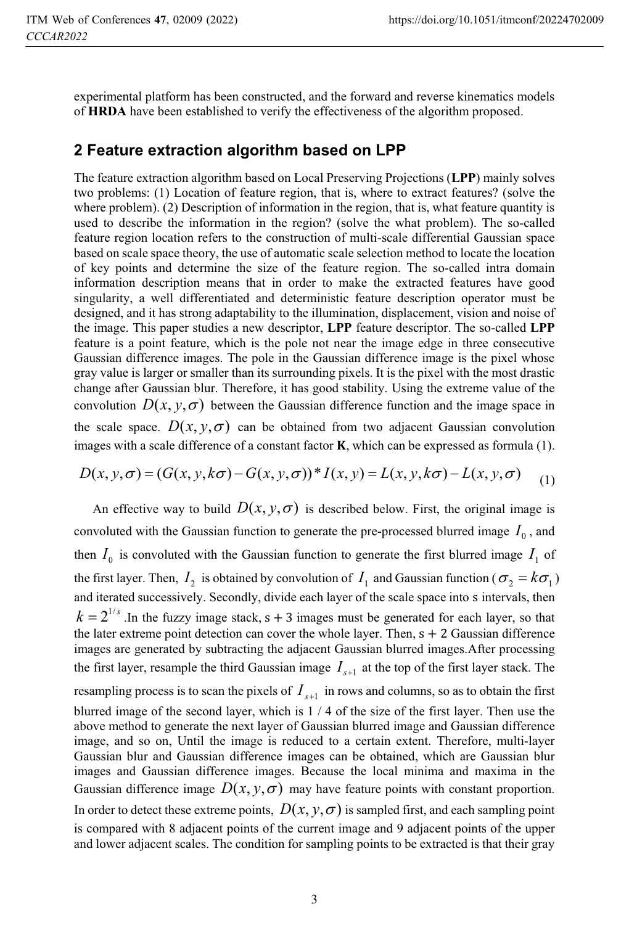experimental platform has been constructed, and the forward and reverse kinematics models of **HRDA** have been established to verify the effectiveness of the algorithm proposed.

# **2 Feature extraction algorithm based on LPP**

The feature extraction algorithm based on Local Preserving Projections (**LPP**) mainly solves two problems: (1) Location of feature region, that is, where to extract features? (solve the where problem). (2) Description of information in the region, that is, what feature quantity is used to describe the information in the region? (solve the what problem). The so-called feature region location refers to the construction of multi-scale differential Gaussian space based on scale space theory, the use of automatic scale selection method to locate the location of key points and determine the size of the feature region. The so-called intra domain information description means that in order to make the extracted features have good singularity, a well differentiated and deterministic feature description operator must be designed, and it has strong adaptability to the illumination, displacement, vision and noise of the image. This paper studies a new descriptor, **LPP** feature descriptor. The so-called **LPP** feature is a point feature, which is the pole not near the image edge in three consecutive Gaussian difference images. The pole in the Gaussian difference image is the pixel whose gray value is larger or smaller than its surrounding pixels. It is the pixel with the most drastic change after Gaussian blur. Therefore, it has good stability. Using the extreme value of the convolution  $D(x, y, \sigma)$  between the Gaussian difference function and the image space in the scale space.  $D(x, y, \sigma)$  can be obtained from two adjacent Gaussian convolution images with a scale difference of a constant factor  $K$ , which can be expressed as formula  $(1)$ .

$$
D(x, y, \sigma) = (G(x, y, k\sigma) - G(x, y, \sigma))^* I(x, y) = L(x, y, k\sigma) - L(x, y, \sigma)
$$
 (1)

An effective way to build  $D(x, y, \sigma)$  is described below. First, the original image is convoluted with the Gaussian function to generate the pre-processed blurred image  $I_0$ , and then  $I_0$  is convoluted with the Gaussian function to generate the first blurred image  $I_1$  of the first layer. Then,  $I_2$  is obtained by convolution of  $I_1$  and Gaussian function ( $\sigma_2 = k \sigma_1$ ) and iterated successively. Secondly, divide each layer of the scale space into s intervals, then  $k = 2^{1/s}$ . In the fuzzy image stack, s + 3 images must be generated for each layer, so that the later extreme point detection can cover the whole layer. Then,  $s + 2$  Gaussian difference images are generated by subtracting the adjacent Gaussian blurred images.After processing the first layer, resample the third Gaussian image  $I_{s+1}$  at the top of the first layer stack. The resampling process is to scan the pixels of  $I_{s+1}$  in rows and columns, so as to obtain the first blurred image of the second layer, which is 1 / 4 of the size of the first layer. Then use the above method to generate the next layer of Gaussian blurred image and Gaussian difference image, and so on, Until the image is reduced to a certain extent. Therefore, multi-layer Gaussian blur and Gaussian difference images can be obtained, which are Gaussian blur images and Gaussian difference images. Because the local minima and maxima in the Gaussian difference image  $D(x, y, \sigma)$  may have feature points with constant proportion. In order to detect these extreme points,  $D(x, y, \sigma)$  is sampled first, and each sampling point is compared with 8 adjacent points of the current image and 9 adjacent points of the upper and lower adjacent scales. The condition for sampling points to be extracted is that their gray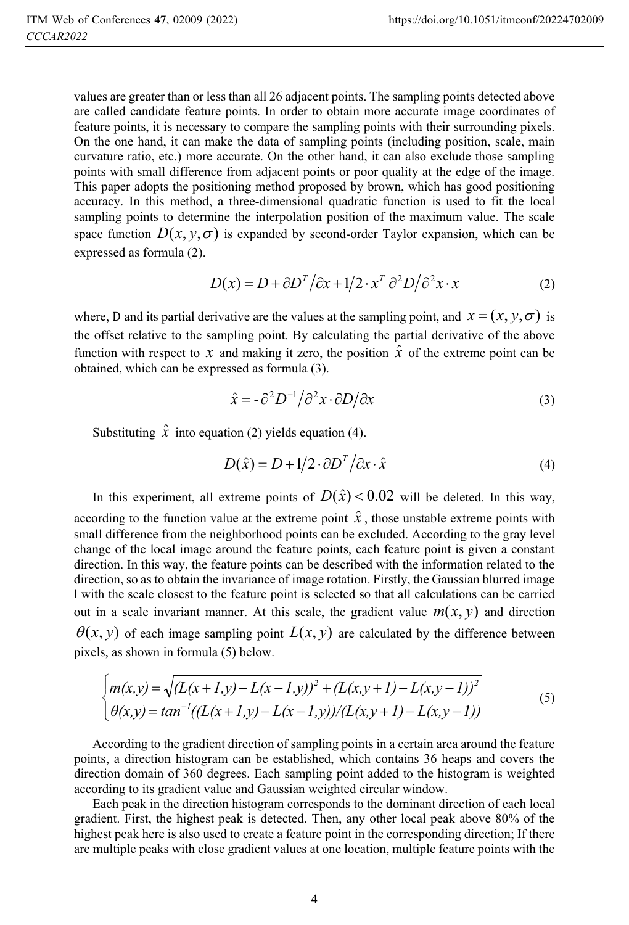values are greater than or less than all 26 adjacent points. The sampling points detected above are called candidate feature points. In order to obtain more accurate image coordinates of feature points, it is necessary to compare the sampling points with their surrounding pixels. On the one hand, it can make the data of sampling points (including position, scale, main curvature ratio, etc.) more accurate. On the other hand, it can also exclude those sampling points with small difference from adjacent points or poor quality at the edge of the image. This paper adopts the positioning method proposed by brown, which has good positioning accuracy. In this method, a three-dimensional quadratic function is used to fit the local sampling points to determine the interpolation position of the maximum value. The scale space function  $D(x, y, \sigma)$  is expanded by second-order Taylor expansion, which can be expressed as formula (2).

$$
D(x) = D + \frac{\partial D^T}{\partial x} + \frac{1}{2} \cdot x^T \frac{\partial^2 D}{\partial x^2} \cdot x \tag{2}
$$

where, D and its partial derivative are the values at the sampling point, and  $x = (x, y, \sigma)$  is the affectable in the sampling point. the offset relative to the sampling point. By calculating the partial derivative of the above function with respect to *x* and making it zero, the position  $\hat{x}$  of the extreme point can be obtained, which can be expressed as formula (3).

$$
\hat{x} = -\partial^2 D^{-1} / \partial^2 x \cdot \partial D / \partial x \tag{3}
$$

Substituting  $\hat{x}$  into equation (2) yields equation (4).

$$
D(\hat{x}) = D + 1/2 \cdot \partial D^T / \partial x \cdot \hat{x}
$$
 (4)

In this experiment, all extreme points of  $D(\hat{x}) < 0.02$  will be deleted. In this way, according to the function value at the extreme point  $\hat{x}$ , those unstable extreme points with small difference from the neighborhood points can be excluded. According to the gray level change of the local image around the feature points, each feature point is given a constant direction. In this way, the feature points can be described with the information related to the direction, so as to obtain the invariance of image rotation. Firstly, the Gaussian blurred image l with the scale closest to the feature point is selected so that all calculations can be carried out in a scale invariant manner. At this scale, the gradient value  $m(x, y)$  and direction  $\theta(x, y)$  of each image sampling point  $L(x, y)$  are calculated by the difference between pixels, as shown in formula (5) below.

$$
\begin{cases}\nm(x,y) = \sqrt{(L(x+1,y) - L(x-1,y))^2 + (L(x,y+1) - L(x,y-1))^2} \\
\theta(x,y) = \tan^{-1}((L(x+1,y) - L(x-1,y))/(L(x,y+1) - L(x,y-1))\n\end{cases} (5)
$$

According to the gradient direction of sampling points in a certain area around the feature points, a direction histogram can be established, which contains 36 heaps and covers the direction domain of 360 degrees. Each sampling point added to the histogram is weighted according to its gradient value and Gaussian weighted circular window.

Each peak in the direction histogram corresponds to the dominant direction of each local gradient. First, the highest peak is detected. Then, any other local peak above 80% of the highest peak here is also used to create a feature point in the corresponding direction; If there are multiple peaks with close gradient values at one location, multiple feature points with the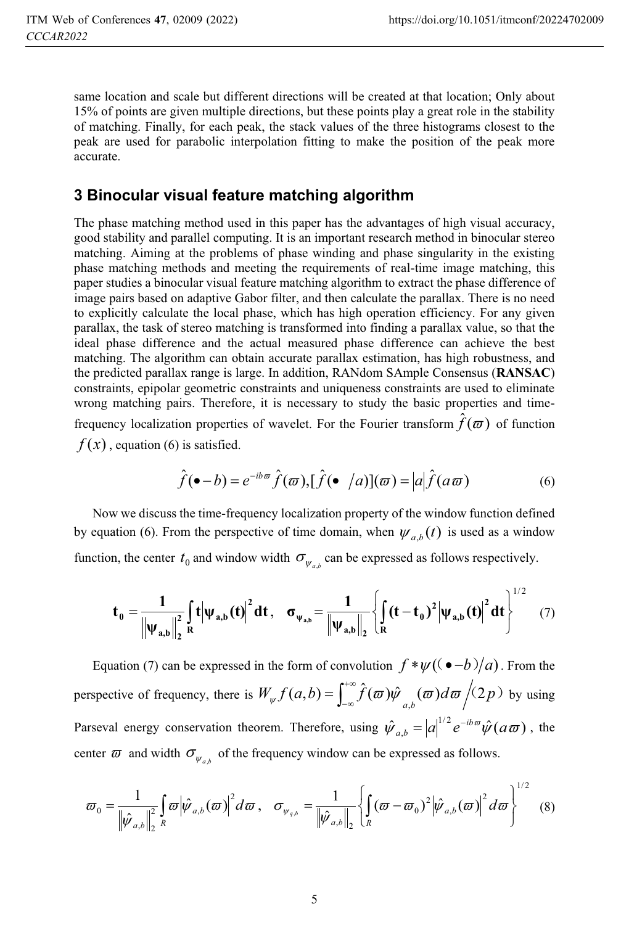same location and scale but different directions will be created at that location; Only about 15% of points are given multiple directions, but these points play a great role in the stability of matching. Finally, for each peak, the stack values of the three histograms closest to the peak are used for parabolic interpolation fitting to make the position of the peak more accurate.

# **3 Binocular visual feature matching algorithm**

The phase matching method used in this paper has the advantages of high visual accuracy, good stability and parallel computing. It is an important research method in binocular stereo matching. Aiming at the problems of phase winding and phase singularity in the existing phase matching methods and meeting the requirements of real-time image matching, this paper studies a binocular visual feature matching algorithm to extract the phase difference of image pairs based on adaptive Gabor filter, and then calculate the parallax. There is no need to explicitly calculate the local phase, which has high operation efficiency. For any given parallax, the task of stereo matching is transformed into finding a parallax value, so that the ideal phase difference and the actual measured phase difference can achieve the best matching. The algorithm can obtain accurate parallax estimation, has high robustness, and the predicted parallax range is large. In addition, RANdom SAmple Consensus (**RANSAC**) constraints, epipolar geometric constraints and uniqueness constraints are used to eliminate wrong matching pairs. Therefore, it is necessary to study the basic properties and timefrequency localization properties of wavelet. For the Fourier transform  $\hat{f}(\varpi)$  of function  $f(x)$ , equation (6) is satisfied.

$$
\hat{f}(\bullet - b) = e^{-ib\omega} \hat{f}(\omega), [\hat{f}(\bullet /a)](\omega) = |a| \hat{f}(a\omega)
$$
(6)

Now we discuss the time-frequency localization property of the window function defined by equation (6). From the perspective of time domain, when  $\psi_{a,b}(t)$  is used as a window function, the center  $t_0$  and window width  $\sigma_{\psi_{a,b}}$  can be expressed as follows respectively.

$$
t_0 = \frac{1}{\left\| \psi_{a,b} \right\|_2^2} \int\limits_R \left| t \middle| \psi_{a,b}(t) \right|^2 dt, \quad \sigma_{\psi_{a,b}} = \frac{1}{\left\| \psi_{a,b} \right\|_2} \left\{ \int\limits_R (t - t_0)^2 \left| \psi_{a,b}(t) \right|^2 dt \right\}^{1/2} \quad (7)
$$

Equation (7) can be expressed in the form of convolution  $f * \psi((\bullet - b)/a)$ . From the perspective of frequency, there is  $W_{\psi} f(a,b) = \int_{-\infty}^{+\infty} \hat{f}(\omega) \hat{\psi}_{a,b}(\omega) d\omega / (2p)$  by using Parseval energy conservation theorem. Therefore, using  $\hat{\psi}_{a,b} = |a|^{1/2} e^{-ib\omega} \hat{\psi}(a\omega)$  $a_{a,b} = |a|^{1/2} e^{-ib\omega} \hat{\psi}(a\omega)$ , the center  $\varpi$  and width  $\sigma_{\psi_{a,b}}$  of the frequency window can be expressed as follows.

$$
\varpi_{0} = \frac{1}{\|\hat{\psi}_{a,b}\|_{2}^{2}} \int_{R} \varpi |\hat{\psi}_{a,b}(\varpi)|^{2} d\varpi, \quad \sigma_{\psi_{a,b}} = \frac{1}{\|\hat{\psi}_{a,b}\|_{2}} \left\{ \int_{R} (\varpi - \varpi_{0})^{2} |\hat{\psi}_{a,b}(\varpi)|^{2} d\varpi \right\}^{1/2}
$$
(8)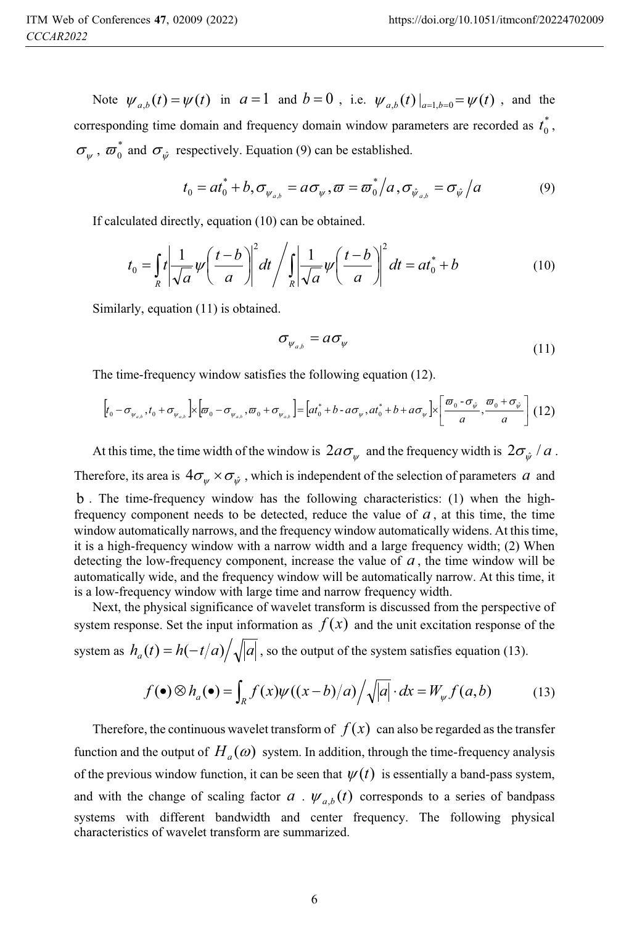Note  $\psi_{a,b}(t) = \psi(t)$  in  $a = 1$  and  $b = 0$ , i.e.  $\psi_{a,b}(t)|_{a=1, b=0} = \psi(t)$ , and the corresponding time domain and frequency domain window parameters are recorded as  $t_0^*$ ,  $\sigma_{\psi}$ ,  $\sigma_{0}^{*}$  and  $\sigma_{\hat{\psi}}$  respectively. Equation (9) can be established.

$$
t_0 = at_0^* + b, \sigma_{\psi_{a,b}} = a\sigma_{\psi}, \varpi = \varpi_0^* / a, \sigma_{\hat{\psi}_{a,b}} = \sigma_{\hat{\psi}} / a
$$
 (9)

If calculated directly, equation (10) can be obtained.

$$
t_0 = \int_R t \left| \frac{1}{\sqrt{a}} \psi \left( \frac{t-b}{a} \right) \right|^2 dt / \int_R \left| \frac{1}{\sqrt{a}} \psi \left( \frac{t-b}{a} \right) \right|^2 dt = at_0^* + b
$$
 (10)

Similarly, equation (11) is obtained.

$$
\sigma_{\psi_{a,b}} = a \sigma_{\psi} \tag{11}
$$

The time-frequency window satisfies the following equation (12).

$$
\[t_0 - \sigma_{\psi_{a,b}}, t_0 + \sigma_{\psi_{a,b}}\] \times \left[\sigma_0 - \sigma_{\psi_{a,b}}, \sigma_0 + \sigma_{\psi_{a,b}}\right] = \left[at_0^* + b - a\sigma_{\psi}, at_0^* + b + a\sigma_{\psi}\right] \times \left[\frac{\sigma_0 - \sigma_{\psi}}{a}, \frac{\sigma_0 + \sigma_{\psi}}{a}\right] (12)
$$

At this time, the time width of the window is  $2a\sigma_{\psi}$  and the frequency width is  $2\sigma_{\hat{\psi}}/a$ . Therefore, its area is  $4\sigma_{\psi} \times \sigma_{\hat{\psi}}$ , which is independent of the selection of parameters *a* and

b . The time-frequency window has the following characteristics: (1) when the highfrequency component needs to be detected, reduce the value of  $a$ , at this time, the time window automatically narrows, and the frequency window automatically widens. At this time, it is a high-frequency window with a narrow width and a large frequency width; (2) When detecting the low-frequency component, increase the value of *a* , the time window will be automatically wide, and the frequency window will be automatically narrow. At this time, it is a low-frequency window with large time and narrow frequency width.

Next, the physical significance of wavelet transform is discussed from the perspective of system response. Set the input information as  $f(x)$  and the unit excitation response of the system as  $h_a(t) = h(-t/a) / \sqrt{|a|}$ , so the output of the system satisfies equation (13).

$$
f(\bullet) \otimes h_a(\bullet) = \int_R f(x)\psi((x-b)/a)\bigg/\sqrt{|a|} \cdot dx = W_{\psi}f(a,b) \tag{13}
$$

Therefore, the continuous wavelet transform of  $f(x)$  can also be regarded as the transfer function and the output of  $H_a(\omega)$  system. In addition, through the time-frequency analysis of the previous window function, it can be seen that  $\psi(t)$  is essentially a band-pass system, and with the change of scaling factor  $a \cdot \psi_{a,b}(t)$  corresponds to a series of bandpass systems with different bandwidth and center frequency. The following physical characteristics of wavelet transform are summarized.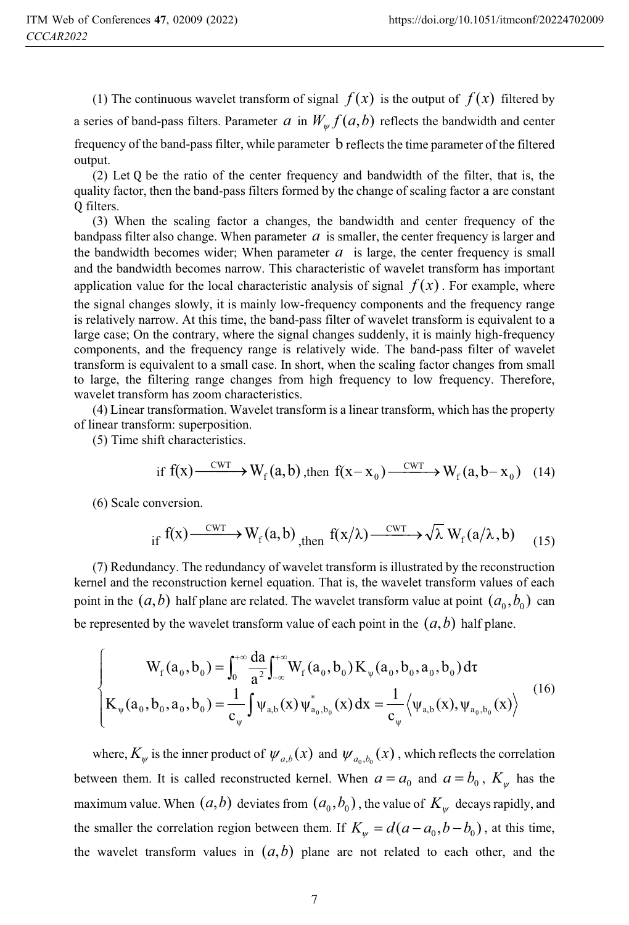(1) The continuous wavelet transform of signal  $f(x)$  is the output of  $f(x)$  filtered by a series of band-pass filters. Parameter *a* in  $W_{\alpha} f(a,b)$  reflects the bandwidth and center frequency of the band-pass filter, while parameter b reflects the time parameter of the filtered output.

(2) Let Q be the ratio of the center frequency and bandwidth of the filter, that is, the quality factor, then the band-pass filters formed by the change of scaling factor a are constant Q filters.

(3) When the scaling factor a changes, the bandwidth and center frequency of the bandpass filter also change. When parameter  $a$  is smaller, the center frequency is larger and the bandwidth becomes wider; When parameter  $a$  is large, the center frequency is small and the bandwidth becomes narrow. This characteristic of wavelet transform has important application value for the local characteristic analysis of signal  $f(x)$ . For example, where the signal changes slowly, it is mainly low-frequency components and the frequency range is relatively narrow. At this time, the band-pass filter of wavelet transform is equivalent to a large case; On the contrary, where the signal changes suddenly, it is mainly high-frequency components, and the frequency range is relatively wide. The band-pass filter of wavelet transform is equivalent to a small case. In short, when the scaling factor changes from small to large, the filtering range changes from high frequency to low frequency. Therefore, wavelet transform has zoom characteristics.

(4) Linear transformation. Wavelet transform is a linear transform, which has the property of linear transform: superposition.

(5) Time shift characteristics.

$$
\text{if } f(x) \xrightarrow{\text{CWT}} W_f(a, b), \text{ then } f(x - x_0) \xrightarrow{\text{CWT}} W_f(a, b - x_0) \tag{14}
$$

(6) Scale conversion.

$$
\text{if } f(x) \xrightarrow{\text{CWT}} W_f(a, b) \xrightarrow{\text{then }} f(x/\lambda) \xrightarrow{\text{CWT}} \sqrt{\lambda} W_f(a/\lambda, b) \tag{15}
$$

(7) Redundancy. The redundancy of wavelet transform is illustrated by the reconstruction kernel and the reconstruction kernel equation. That is, the wavelet transform values of each point in the  $(a, b)$  half plane are related. The wavelet transform value at point  $(a_0, b_0)$  can be represented by the wavelet transform value of each point in the  $(a,b)$  half plane.

$$
\begin{cases}\nW_{f}(a_{0},b_{0}) = \int_{0}^{+\infty} \frac{da}{a^{2}} \int_{-\infty}^{+\infty} W_{f}(a_{0},b_{0}) K_{\psi}(a_{0},b_{0},a_{0},b_{0}) d\tau \\
K_{\psi}(a_{0},b_{0},a_{0},b_{0}) = \frac{1}{c_{\psi}} \int \psi_{a,b}(x) \psi_{a_{0},b_{0}}^{*}(x) dx = \frac{1}{c_{\psi}} \langle \psi_{a,b}(x), \psi_{a_{0},b_{0}}(x) \rangle\n\end{cases}
$$
\n(16)

where,  $K_{\psi}$  is the inner product of  $\psi_{a,b}(x)$  and  $\psi_{a_0,b_0}(x)$ , which reflects the correlation between them. It is called reconstructed kernel. When  $a = a_0$  and  $a = b_0$ ,  $K_w$  has the maximum value. When  $(a, b)$  deviates from  $(a_0, b_0)$ , the value of  $K_{\mu}$  decays rapidly, and the smaller the correlation region between them. If  $K_{\mu} = d(a - a_0, b - b_0)$ , at this time, the wavelet transform values in  $(a, b)$  plane are not related to each other, and the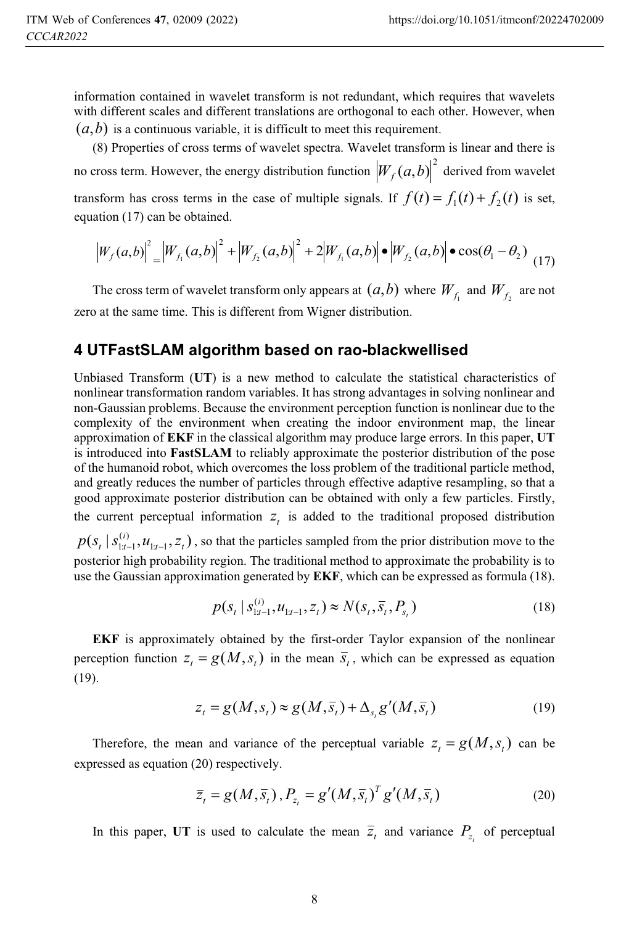information contained in wavelet transform is not redundant, which requires that wavelets with different scales and different translations are orthogonal to each other. However, when  $(a, b)$  is a continuous variable, it is difficult to meet this requirement.

(8) Properties of cross terms of wavelet spectra. Wavelet transform is linear and there is no cross term. However, the energy distribution function  $\big| W_f(a,b) \big|^2$  derived from wavelet transform has cross terms in the case of multiple signals. If  $f(t) = f_1(t) + f_2(t)$  is set, equation (17) can be obtained.

$$
\left|W_{f}(a,b)\right|^{2} = \left|W_{f_{1}}(a,b)\right|^{2} + \left|W_{f_{2}}(a,b)\right|^{2} + 2\left|W_{f_{1}}(a,b)\right| \bullet \left|W_{f_{2}}(a,b)\right| \bullet \cos(\theta_{1} - \theta_{2})
$$
(17)

The cross term of wavelet transform only appears at  $(a,b)$  where  $W_f$  and  $W_f$  are not zero at the same time. This is different from Wigner distribution.

# **4 UTFastSLAM algorithm based on rao-blackwellised**

Unbiased Transform (**UT**) is a new method to calculate the statistical characteristics of nonlinear transformation random variables. It has strong advantages in solving nonlinear and non-Gaussian problems. Because the environment perception function is nonlinear due to the complexity of the environment when creating the indoor environment map, the linear approximation of **EKF** in the classical algorithm may produce large errors. In this paper, **UT** is introduced into **FastSLAM** to reliably approximate the posterior distribution of the pose of the humanoid robot, which overcomes the loss problem of the traditional particle method, and greatly reduces the number of particles through effective adaptive resampling, so that a good approximate posterior distribution can be obtained with only a few particles. Firstly, the current perceptual information  $z<sub>t</sub>$  is added to the traditional proposed distribution

 $(s_{_t} | s_{1:t-1}^{(i)}, u_{1:t-1}, z_{_t})$  $1:t-1$ ,  $u_{1:t-1}$ ,  $u_{t}$  $p(s_t | s_{1:t-1}^{(i)}, u_{1:t-1}, z_t)$ , so that the particles sampled from the prior distribution move to the posterior high probability region. The traditional method to approximate the probability is to use the Gaussian approximation generated by **EKF**, which can be expressed as formula (18).

$$
p(s_t | s_{1:t-1}^{(i)}, u_{1:t-1}, z_t) \approx N(s_t, \overline{s}_t, P_{s_t})
$$
\n(18)

**EKF** is approximately obtained by the first-order Taylor expansion of the nonlinear perception function  $z_t = g(M, s_t)$  in the mean  $\overline{s}_t$ , which can be expressed as equation (19).

$$
z_t = g(M, s_t) \approx g(M, \overline{s}_t) + \Delta_{s_t} g'(M, \overline{s}_t)
$$
\n(19)

Therefore, the mean and variance of the perceptual variable  $z_t = g(M, s_t)$  can be expressed as equation (20) respectively.

$$
\bar{z}_t = g(M, \bar{s}_t), P_{z_t} = g'(M, \bar{s}_t)^T g'(M, \bar{s}_t)
$$
\n(20)

In this paper, UT is used to calculate the mean  $\overline{z}_t$  and variance  $P_z$  of perceptual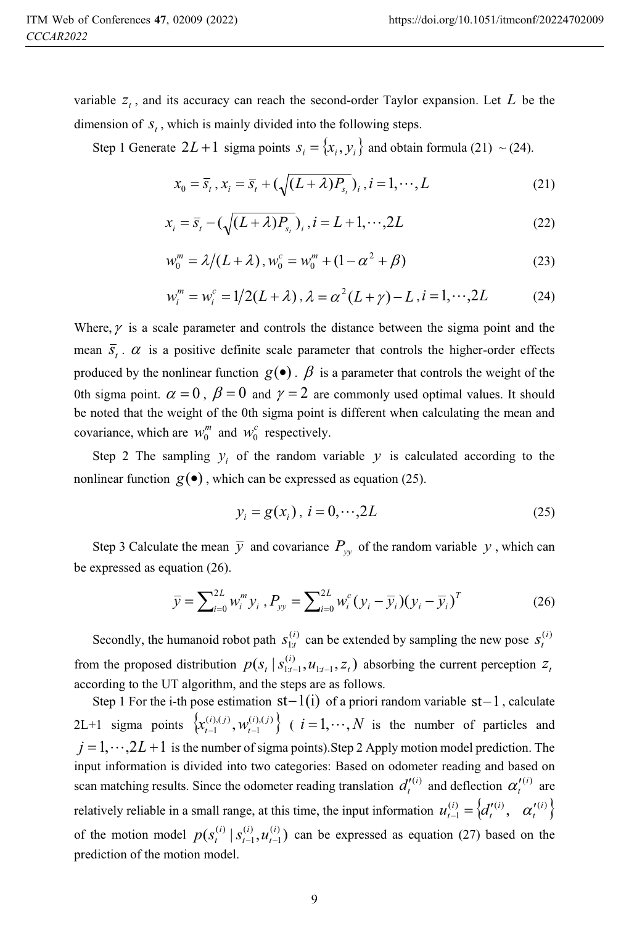dimension of  $S_t$ , which is mainly divided into the following steps.

Step 1 Generate  $2L + 1$  sigma points  $s_i = \{x_i, y_i\}$  and obtain formula (21) ~ (24).

$$
x_0 = \overline{s}_t, x_i = \overline{s}_t + (\sqrt{(L+\lambda)P_{s_t}})_i, i = 1, \cdots, L
$$
 (21)

$$
x_i = \overline{s}_t - \left(\sqrt{(L+\lambda)P_{s_t}}\right)_i, i = L+1, \cdots, 2L\tag{22}
$$

$$
w_0^m = \lambda/(L+\lambda), w_0^c = w_0^m + (1 - \alpha^2 + \beta)
$$
 (23)

$$
w_i^m = w_i^c = 1/2(L + \lambda), \lambda = \alpha^2(L + \gamma) - L, i = 1, \cdots, 2L
$$
 (24)

Where,  $\gamma$  is a scale parameter and controls the distance between the sigma point and the mean  $\overline{s}_t$ .  $\alpha$  is a positive definite scale parameter that controls the higher-order effects produced by the nonlinear function  $g(\bullet)$ .  $\beta$  is a parameter that controls the weight of the 0th sigma point.  $\alpha = 0$ ,  $\beta = 0$  and  $\gamma = 2$  are commonly used optimal values. It should be noted that the weight of the 0th sigma point is different when calculating the mean and covariance, which are  $w_0^m$  and  $w_0^c$  respectively.

Step 2 The sampling  $y_i$  of the random variable  $y$  is calculated according to the nonlinear function  $g(\bullet)$ , which can be expressed as equation (25).

$$
y_i = g(x_i), \ i = 0, \cdots, 2L \tag{25}
$$

Step 3 Calculate the mean  $\overline{y}$  and covariance  $P_{yy}$  of the random variable y, which can be expressed as equation (26).

$$
\overline{y} = \sum_{i=0}^{2L} w_i^m y_i, P_{yy} = \sum_{i=0}^{2L} w_i^c (y_i - \overline{y}_i) (y_i - \overline{y}_i)^T
$$
(26)

Secondly, the humanoid robot path  $S_{1:t}^{(i)}$  $s_{1:t}^{(i)}$  can be extended by sampling the new pose  $s_t^{(i)}$ from the proposed distribution  $p(s_t | s_{1:t-1}^{(i)}, u_{1:t-1}, z_t)$  $1:t-1$ ,  $u_{1:t-1}$ ,  $u_{t}$  $p(s_t | s_{1:t-1}^{(i)}, u_{1:t-1}, z_t)$  absorbing the current perception  $z_t$ according to the UT algorithm, and the steps are as follows.

Step 1 For the i-th pose estimation  $st-1(i)$  of a priori random variable  $st-1$ , calculate 2L+1 sigma points  $\{x_{t-1}^{(i),(j)}, w_{t-1}^{(i),(j)}\}$  $\{ x_{t-1}^{(i),(j)}, w_{t-1}^{(i),(j)} \}$  (  $i=1,\dots,N$  is the number of particles and  $j = 1, \dots, 2L + 1$  is the number of sigma points). Step 2 Apply motion model prediction. The input information is divided into two categories: Based on odometer reading and based on scan matching results. Since the odometer reading translation  $d_i^{(i)}$  and deflection  $\alpha_i^{(i)}$  are relatively reliable in a small range, at this time, the input information  $u_{t-1}^{(i)} = \{d_t^{(i)}, \alpha_t^{(i)}\}$ *i*  $u_{t-1}^{(i)} = \begin{cases} d_t^{\prime(i)}, & \alpha_t^{\prime} \end{cases}$ of the motion model  $p(s_t^{(i)} | s_{t-1}^{(i)}, u_{t-1}^{(i)})$  $(i)$ 1  $(i)$   $\frac{1}{2}$   $\frac{1}{2}$   $(i)$   $\frac{1}{2}$   $(i)$ *t i*  $p(s_t^{(i)} | s_{t-1}^{(i)}, u_{t-1}^{(i)})$  can be expressed as equation (27) based on the prediction of the motion model.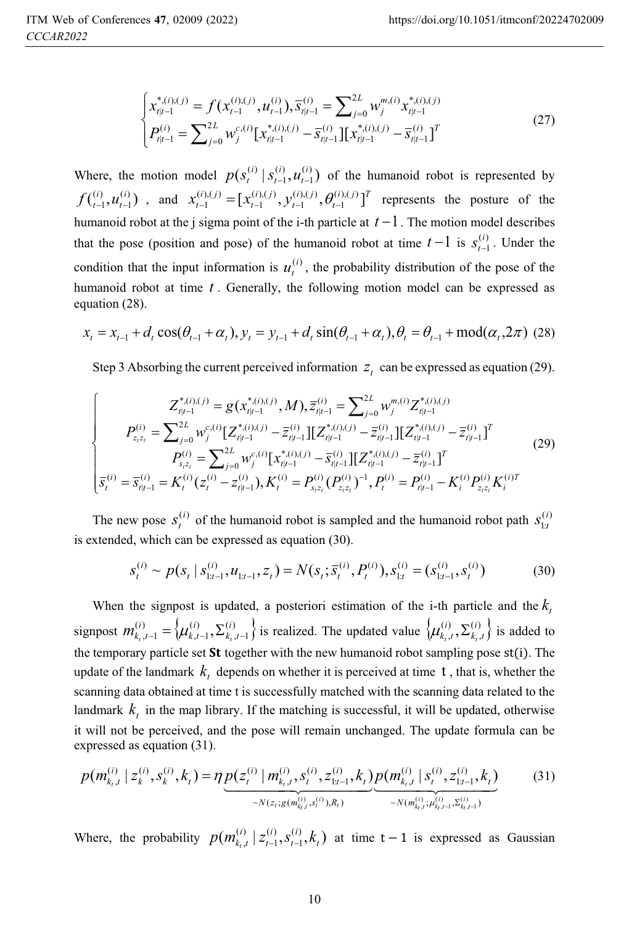$$
\begin{cases}\nx_{t|t-1}^{*,(i),(j)} = f(x_{t-1}^{(i),(j)}, u_{t-1}^{(i)}), \overline{s}_{t|t-1}^{(i)} = \sum_{j=0}^{2L} w_{j}^{m,(i)} x_{t|t-1}^{*,(i),(j)} \\
P_{t|t-1}^{(i)} = \sum_{j=0}^{2L} w_{j}^{c,(i)} [x_{t|t-1}^{*,(i),(j)} - \overline{s}_{t|t-1}^{(i)}] [x_{t|t-1}^{*,(i),(j)} - \overline{s}_{t|t-1}^{(i)}]^T\n\end{cases}
$$
\n(27)

Where, the motion model  $p(s_t^{(i)} | s_{t-1}^{(i)}, u_{t-1}^{(i)})$  $\left( i\right)$ 1  $(i)$   $\binom{i}{a}$   $\binom{i}{b}$ *t i*  $p(s_t^{(i)} | s_{t-1}^{(i)}, u_{t-1}^{(i)})$  of the humanoid robot is represented by  $\binom{(i)}{t-1}, \mathcal{U}^{(i)}_{t-1}$  $\left( i\right)$ 1 *i*  $f_{t-1}^{(i)}, u_{t-1}^{(i)}$  , and  $x_{t-1}^{(i),(j)} = [x_{t-1}^{(i),(j)}, y_{t-1}^{(i),(j)}, \theta_{t-1}^{(i),(j)}]^T$ *i j t i j t*  $\boldsymbol{x}_{t-1}^{(i),(j)} = [\boldsymbol{x}_{t-1}^{(i),(j)}, \boldsymbol{y}_{t-1}^{(i),(j)}, \boldsymbol{\theta}_{t-1}^{(i),(j)}]$  $(i)$ , $(j)$ 1  $(i)$ , $(j)$ 1  $(x_{t-1}^{(i),(j)}) = [x_{t-1}^{(i),(j)}, y_{t-1}^{(i),(j)}, \theta_{t-1}^{(i),(j)}]^T$  represents the posture of the humanoid robot at the j sigma point of the i-th particle at  $t-1$ . The motion model describes that the pose (position and pose) of the humanoid robot at time  $t-1$  is  $s_{t-1}^{(i)}$  $s_{t-1}^{(i)}$ . Under the condition that the input information is  $u_t^{(i)}$ , the probability distribution of the pose of the humanoid robot at time *t* . Generally, the following motion model can be expressed as equation (28).

$$
x_{t} = x_{t-1} + d_{t} \cos(\theta_{t-1} + \alpha_{t}), y_{t} = y_{t-1} + d_{t} \sin(\theta_{t-1} + \alpha_{t}), \theta_{t} = \theta_{t-1} + \text{mod}(\alpha_{t}, 2\pi)
$$
 (28)

Step 3 Absorbing the current perceived information  $z_t$  can be expressed as equation (29).

$$
\begin{cases}\nZ_{t|t-1}^{*,(i),(j)} = g(x_{t|t-1}^{*,(i),(j)}, M), \overline{z}_{t|t-1}^{(i)} = \sum_{j=0}^{2L} w_j^{m,(i)} Z_{t|t-1}^{*,(i),(j)} \\
P_{z,z_t}^{(i)} = \sum_{j=0}^{2L} w_j^{c,(i)} [Z_{t|t-1}^{*,(i),(j)} - \overline{z}_{t|t-1}^{(i)}] [Z_{t|t-1}^{*,(i),(j)} - \overline{z}_{t|t-1}^{(i)}] [Z_{t|t-1}^{*,(i),(j)} - \overline{z}_{t|t-1}^{(i)}]^T \\
P_{s,z_t}^{(i)} = \sum_{j=0}^{2L} w_j^{c,(i)} [x_{t|t-1}^{*,(i),(j)} - \overline{s}_{t|t-1}^{(i)}] [Z_{t|t-1}^{*,(i),(j)} - \overline{z}_{t|t-1}^{(i)}]^T \\
\overline{s}_t^{(i)} = \overline{s}_{t|t-1}^{(i)} = K_t^{(i)} (z_t^{(i)} - z_{t|t-1}^{(i)}), K_t^{(i)} = P_{s,z_t}^{(i)} (P_{z,z_t}^{(i)})^{-1}, P_t^{(i)} = P_{t|t-1}^{(i)} - K_t^{(i)} P_{z,z_t}^{(i)} K_t^{(i)T}\n\end{cases} (29)
$$

The new pose  $s_t^{(i)}$  of the humanoid robot is sampled and the humanoid robot path  $s_{1:t}^{(i)}$  $s_{1:t}^{(i)}$ is extended, which can be expressed as equation (30).

$$
s_t^{(i)} \sim p(s_t \mid s_{1:t-1}^{(i)}, u_{1:t-1}, z_t) = N(s_t; \overline{s}_t^{(i)}, P_t^{(i)}), s_{1:t}^{(i)} = (s_{1:t-1}^{(i)}, s_t^{(i)})
$$
(30)

When the signpost is updated, a posteriori estimation of the *i*-th particle and the  $k_t$ signpost  $m_{k_t,t-1}^{(i)} = \left\{ \mu_{k,t-1}^{(i)}, \sum_{k_t,t-1}^{(i)} \right\}$  $\left( i\right)$  $,t-1$  $\lambda_{k_t,t-1}^{(i)} = \left\{ \mu_{k,t-1}^{(i)}, \Sigma_{k_t,t}^{(i)} \right\}$ *i k t*  $m_{k_t,t-1}^{(i)} = \{ \mu_{k,t-1}^{(i)}, \sum_{k_t,t-1}^{(i)} \}$  is realized. The updated value  $\{\mu_{k_t,t}^{(i)}, \sum_{k_t,t}^{(i)} \}$  $_{k_{t},t}^{(i)},\sum_{k_{t},t}^{(i)}$  $\{\mu_{k_t,t}^{(i)}, \sum_{k_t,t}^{(i)}\}$  is added to the temporary particle set  $St$  together with the new humanoid robot sampling pose  $st(i)$ . The update of the landmark  $k_t$  depends on whether it is perceived at time  $t$ , that is, whether the scanning data obtained at time t is successfully matched with the scanning data related to the landmark  $k_t$  in the map library. If the matching is successful, it will be updated, otherwise it will not be perceived, and the pose will remain unchanged. The update formula can be expressed as equation (31).

$$
p(m_{k_t,t}^{(i)} \mid z_k^{(i)}, s_k^{(i)}, k_t) = \eta \underbrace{p(z_t^{(i)} \mid m_{k_t,t}^{(i)}, s_t^{(i)}, z_{1:t-1}^{(i)}, k_t)}_{\sim N(z_t; g(m_{k_t,t}^{(i)}, s_t^{(i)}), R_t)} \underbrace{p(m_{k_t,t}^{(i)} \mid s_t^{(i)}, z_{1:t-1}^{(i)}, k_t)}_{\sim N(m_{k_t,t}^{(i)}, \mu_{k_t,t-1}^{(i)}, \Sigma_{k_t,t-1}^{(i)})}
$$
(31)

Where, the probability  $p(m_{k, t}^{(i)} | z_{t-1}^{(i)}, s_{t-1}^{(i)}, k_t)$  $(i)$ 1  $\left( i\right)$  $t^{t+1}_{t-1}, t^{t}_{t-1}, t^{t}_{t}$ *i t i t*  $p(m_{k_t,t}^{(i)} | z_{t-1}^{(i)}, s_{t-1}^{(i)}, k_t)$  at time t-1 is expressed as Gaussian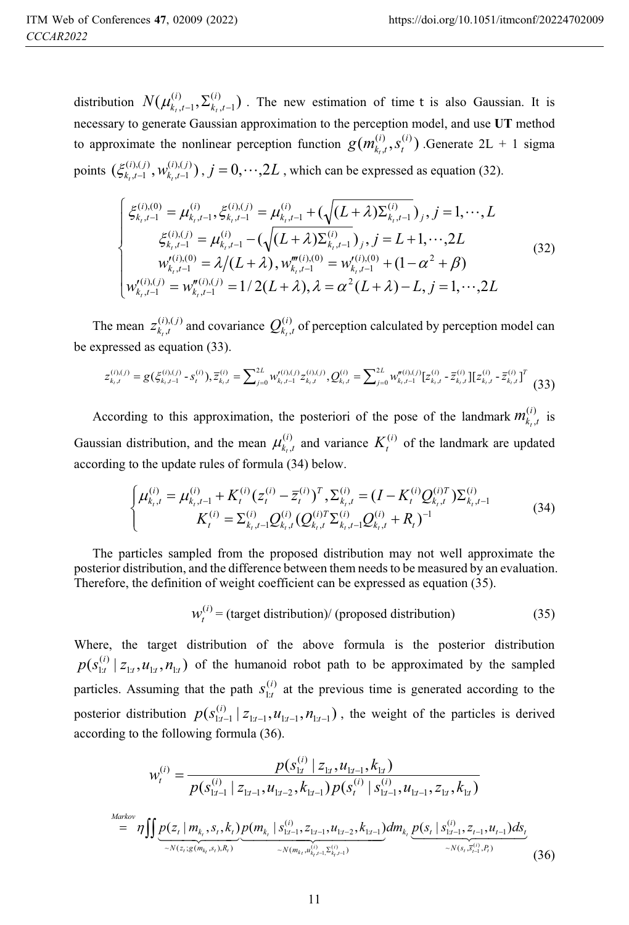distribution  $N(\mu_{k_1,t-1}^{(i)}, \Sigma_{k_1,t-1}^{(i)})$  $(i)$  $,t-1$ *i*  $k_t$ ,*t*  $N(\mu_{k_t,t-1}^{(i)}, \sum_{k_t,t-1}^{(i)})$ . The new estimation of time t is also Gaussian. It is necessary to generate Gaussian approximation to the perception model, and use **UT** method to approximate the nonlinear perception function  $g(m_{k_l, l}^{(i)}, s_l^{(i)})$ *i t*  $g(m_{k_t,t}^{(i)}, s_t^{(i)})$  .Generate 2L + 1 sigma points  $(\xi_{k_t,t-1}^{(i),(j)}, w_{k_t,t-1}^{(i),(j)})$  $(i)$ , $(j)$  $,t-1$ *i j*  $k_t$ , $t$  $\zeta_{k_1,t-1}^{(i),(j)}, w_{k_1,t-1}^{(i),(j)})$ ,  $j = 0, \dots, 2L$ , which can be expressed as equation (32).

$$
\begin{cases}\n\xi_{k,t-1}^{(i),(0)} = \mu_{k,t-1}^{(i)}, \xi_{k,t-1}^{(i),(j)} = \mu_{k,t-1}^{(i)} + (\sqrt{(L+\lambda)\Sigma_{k,t-1}^{(i)}})_j, j = 1, \cdots, L \\
\xi_{k,t-1}^{(i),(j)} = \mu_{k,t-1}^{(i)} - (\sqrt{(L+\lambda)\Sigma_{k,t-1}^{(i)}})_j, j = L+1, \cdots, 2L \\
w_{k,t-1}^{\prime(i),(0)} = \lambda/(L+\lambda), w_{k,t-1}^{m(i),(0)} = w_{k,t-1}^{\prime(i),(0)} + (1-\alpha^2 + \beta) \\
w_{k,t-1}^{\prime(i),(j)} = w_{k,t-1}^{n(i),(j)} = 1/2(L+\lambda), \lambda = \alpha^2(L+\lambda) - L, j = 1, \cdots, 2L\n\end{cases}
$$
\n(32)

The mean  $z_{k_t,t}^{(i),(j)}$  $z_{k_t,t}^{(i),(j)}$  and covariance  $Q_{k_t,t}^{(i)}$  $Q_{k_t,t}^{(i)}$  of perception calculated by perception model can be expressed as equation (33).

$$
z_{k,t}^{(i),(j)} = g(\xi_{k,t-1}^{(i),(j)} - s_t^{(i)}), \overline{z}_{k,t}^{(i)} = \sum_{j=0}^{2L} w_{k,t-1}^{(i),(j)} z_{k,t}^{(i),(j)}, Q_{k,t}^{(i)} = \sum_{j=0}^{2L} w_{k,t-1}^{(i),(j)} [z_{k,t}^{(i)} - \overline{z}_{k,t}^{(i)}][z_{k,t}^{(i)} - \overline{z}_{k,t}^{(i)}]^T
$$
(33)

According to this approximation, the posteriori of the pose of the landmark  $m_{k_i}^{(i)}$ ,  $m_{k_t,t}^{(i)}$  is Gaussian distribution, and the mean  $\mu_{k_l}^{(i)}$  $\mu_{k_t,t}^{(i)}$  and variance  $K_t^{(i)}$  of the landmark are updated according to the update rules of formula (34) below.

$$
\begin{cases}\n\mu_{k_t,t}^{(i)} = \mu_{k_t,t-1}^{(i)} + K_t^{(i)} (z_t^{(i)} - \overline{z}_t^{(i)})^T, \sum_{k_t,t}^{(i)} = (I - K_t^{(i)} Q_{k_t,t}^{(i)T}) \sum_{k_t,t-1}^{(i)} \\
K_t^{(i)} = \sum_{k_t,t-1}^{(i)} Q_{k_t,t}^{(i)} (Q_{k_t,t}^{(i)T} \Sigma_{k_t,t-1}^{(i)} Q_{k_t,t}^{(i)} + R_t)^{-1}\n\end{cases} \tag{34}
$$

The particles sampled from the proposed distribution may not well approximate the posterior distribution, and the difference between them needs to be measured by an evaluation. Therefore, the definition of weight coefficient can be expressed as equation (35).

$$
W_t^{(i)} = \text{(target distribution)} / \text{(proposed distribution)} \tag{35}
$$

Where, the target distribution of the above formula is the posterior distribution  $(s^{(i)}_{1:t}\,|\, z_{1:t}, u_{1:t}, n_{1:t})$  $p(s_{1:t}^{(i)} | z_{1:t}, u_{1:t}, n_{1:t})$  of the humanoid robot path to be approximated by the sampled particles. Assuming that the path  $S_{1:t}^{(i)}$  $s_{1:t}^{(i)}$  at the previous time is generated according to the posterior distribution  $p(s_{1:t-1}^{(i)} | z_{1:t-1}, u_{1:t-1}, n_{1:t-1})$ , the weight of the particles is derived according to the following formula (36).

$$
w_t^{(i)} = \frac{p(s_{1x}^{(i)} \mid z_{1x}, u_{1x-1}, k_{1x})}{p(s_{1x-1}^{(i)} \mid z_{1x-1}, u_{1x-2}, k_{1x-1}) p(s_t^{(i)} \mid s_{1x-1}^{(i)}, u_{1x-1}, z_{1x}, k_{1x})}
$$
  
\n
$$
= \eta \iint \underbrace{p(z_t \mid m_{k_t}, s_t, k_t)}_{\sim N(z_t; g(m_{k_t}, s_t), R_t)} \underbrace{p(m_{k_t} \mid s_{1x-1}^{(i)}, z_{1x-1}, u_{1x-2}, k_{1x-1})}_{\sim N(m_{k_t}, u_{k_t}^{(i)}, z_{k_t-1}^{(i)})} dm_{k_t} \underbrace{p(s_t \mid s_{1x-1}^{(i)}, z_{t-1}, u_{t-1}) ds_t}_{\sim N(s_t, \overline{s}_{t-1}^{(i)}, R_t)}
$$
(36)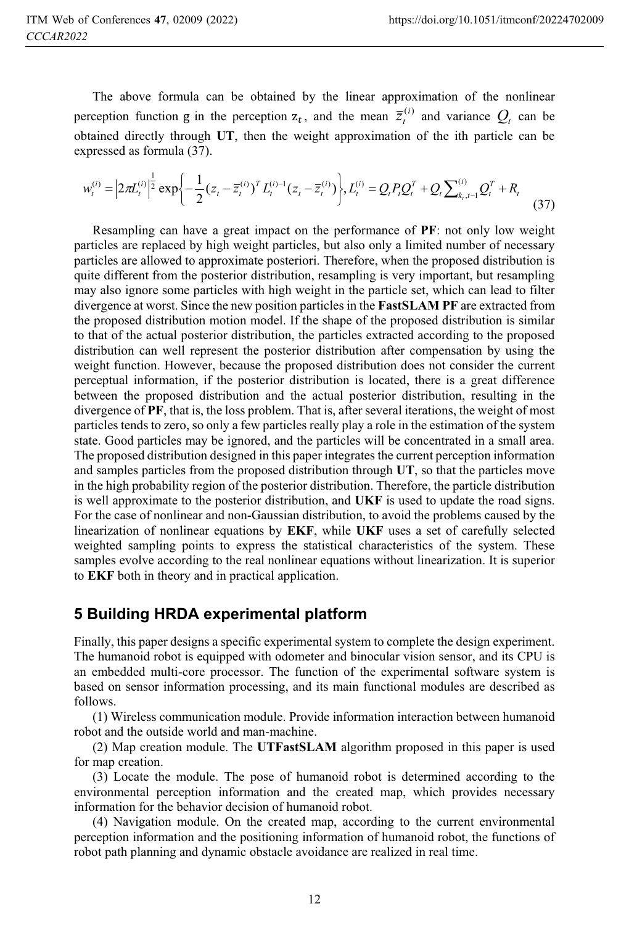The above formula can be obtained by the linear approximation of the nonlinear perception function g in the perception  $z_t$ , and the mean  $\overline{z}_t^{(i)}$  and variance  $Q_t$  can be obtained directly through **UT**, then the weight approximation of the ith particle can be expressed as formula (37).

$$
w_t^{(i)} = \left| 2\pi L_t^{(i)} \right|^{\frac{1}{2}} \exp\left\{-\frac{1}{2} (z_t - \overline{z}_t^{(i)})^T L_t^{(i)-1} (z_t - \overline{z}_t^{(i)})\right\}, L_t^{(i)} = Q_t P_t Q_t^T + Q_t \sum_{k_1, t-1}^{(i)} Q_t^T + R_t
$$
\n(37)

 particles are replaced by high weight particles, but also only a limited number of necessary Resampling can have a great impact on the performance of **PF**: not only low weight particles are allowed to approximate posteriori. Therefore, when the proposed distribution is quite different from the posterior distribution, resampling is very important, but resampling may also ignore some particles with high weight in the particle set, which can lead to filter divergence at worst. Since the new position particles in the **FastSLAM PF** are extracted from the proposed distribution motion model. If the shape of the proposed distribution is similar to that of the actual posterior distribution, the particles extracted according to the proposed distribution can well represent the posterior distribution after compensation by using the weight function. However, because the proposed distribution does not consider the current perceptual information, if the posterior distribution is located, there is a great difference between the proposed distribution and the actual posterior distribution, resulting in the divergence of **PF**, that is, the loss problem. That is, after several iterations, the weight of most particles tends to zero, so only a few particles really play a role in the estimation of the system state. Good particles may be ignored, and the particles will be concentrated in a small area. The proposed distribution designed in this paper integrates the current perception information and samples particles from the proposed distribution through **UT**, so that the particles move in the high probability region of the posterior distribution. Therefore, the particle distribution is well approximate to the posterior distribution, and **UKF** is used to update the road signs. For the case of nonlinear and non-Gaussian distribution, to avoid the problems caused by the linearization of nonlinear equations by **EKF**, while **UKF** uses a set of carefully selected weighted sampling points to express the statistical characteristics of the system. These samples evolve according to the real nonlinear equations without linearization. It is superior to **EKF** both in theory and in practical application.

# **5 Building HRDA experimental platform**

Finally, this paper designs a specific experimental system to complete the design experiment. The humanoid robot is equipped with odometer and binocular vision sensor, and its CPU is an embedded multi-core processor. The function of the experimental software system is based on sensor information processing, and its main functional modules are described as follows.

(1) Wireless communication module. Provide information interaction between humanoid robot and the outside world and man-machine.

(2) Map creation module. The **UTFastSLAM** algorithm proposed in this paper is used for map creation.

(3) Locate the module. The pose of humanoid robot is determined according to the environmental perception information and the created map, which provides necessary information for the behavior decision of humanoid robot.

(4) Navigation module. On the created map, according to the current environmental perception information and the positioning information of humanoid robot, the functions of robot path planning and dynamic obstacle avoidance are realized in real time.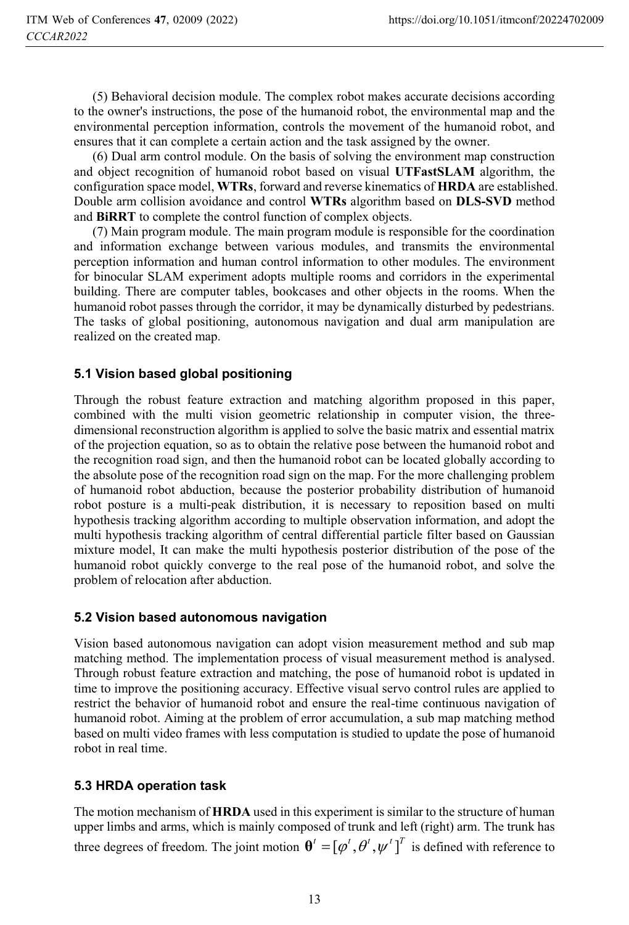(5) Behavioral decision module. The complex robot makes accurate decisions according to the owner's instructions, the pose of the humanoid robot, the environmental map and the environmental perception information, controls the movement of the humanoid robot, and ensures that it can complete a certain action and the task assigned by the owner.

(6) Dual arm control module. On the basis of solving the environment map construction and object recognition of humanoid robot based on visual **UTFastSLAM** algorithm, the configuration space model, **WTRs**, forward and reverse kinematics of **HRDA** are established. Double arm collision avoidance and control **WTRs** algorithm based on **DLS-SVD** method and **BiRRT** to complete the control function of complex objects.

(7) Main program module. The main program module is responsible for the coordination and information exchange between various modules, and transmits the environmental perception information and human control information to other modules. The environment for binocular SLAM experiment adopts multiple rooms and corridors in the experimental building. There are computer tables, bookcases and other objects in the rooms. When the humanoid robot passes through the corridor, it may be dynamically disturbed by pedestrians. The tasks of global positioning, autonomous navigation and dual arm manipulation are realized on the created map.

### **5.1 Vision based global positioning**

Through the robust feature extraction and matching algorithm proposed in this paper, combined with the multi vision geometric relationship in computer vision, the threedimensional reconstruction algorithm is applied to solve the basic matrix and essential matrix of the projection equation, so as to obtain the relative pose between the humanoid robot and the recognition road sign, and then the humanoid robot can be located globally according to the absolute pose of the recognition road sign on the map. For the more challenging problem of humanoid robot abduction, because the posterior probability distribution of humanoid robot posture is a multi-peak distribution, it is necessary to reposition based on multi hypothesis tracking algorithm according to multiple observation information, and adopt the multi hypothesis tracking algorithm of central differential particle filter based on Gaussian mixture model, It can make the multi hypothesis posterior distribution of the pose of the humanoid robot quickly converge to the real pose of the humanoid robot, and solve the problem of relocation after abduction.

### **5.2 Vision based autonomous navigation**

Vision based autonomous navigation can adopt vision measurement method and sub map matching method. The implementation process of visual measurement method is analysed. Through robust feature extraction and matching, the pose of humanoid robot is updated in time to improve the positioning accuracy. Effective visual servo control rules are applied to restrict the behavior of humanoid robot and ensure the real-time continuous navigation of humanoid robot. Aiming at the problem of error accumulation, a sub map matching method based on multi video frames with less computation is studied to update the pose of humanoid robot in real time.

### **5.3 HRDA operation task**

The motion mechanism of **HRDA** used in this experiment is similar to the structure of human upper limbs and arms, which is mainly composed of trunk and left (right) arm. The trunk has three degrees of freedom. The joint motion  $\boldsymbol{\theta}^t = [\phi^t, \theta^t, \psi^t]^T$  is defined with reference to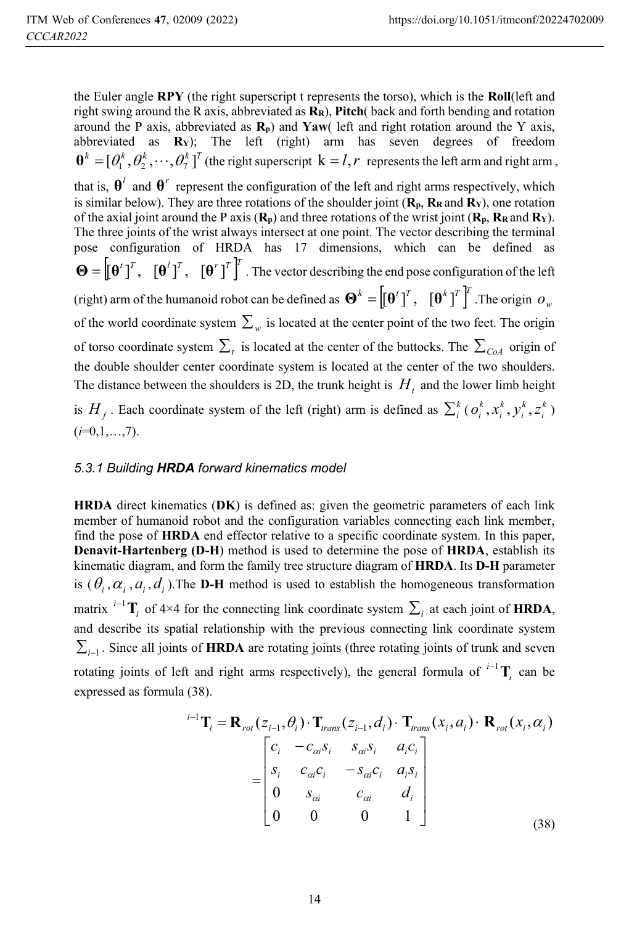the Euler angle **RPY** (the right superscript t represents the torso), which is the **Roll**(left and right swing around the R axis, abbreviated as **RR**), **Pitch**( back and forth bending and rotation around the P axis, abbreviated as  $\mathbf{R_p}$ ) and **Yaw**( left and right rotation around the Y axis, abbreviated as **RY**); The left (right) arm has seven degrees of freedom  $\mathbf{\theta}^k = [\theta_1^k, \theta_2^k, \dots, \theta_7^k]^T$  (the right superscript  $\mathbf{k} = l, r$  represents the left arm and right arm,

that is,  $\theta^l$  and  $\theta^r$  represent the configuration of the left and right arms respectively, which is similar below). They are three rotations of the shoulder joint  $(\mathbf{R}_n, \mathbf{R}_R \text{ and } \mathbf{R}_Y)$ , one rotation of the axial joint around the P axis  $(\mathbf{R}_{p})$  and three rotations of the wrist joint  $(\mathbf{R}_{p}, \mathbf{R}_{R})$  and  $(\mathbf{R}_{Y})$ . The three joints of the wrist always intersect at one point. The vector describing the terminal pose configuration of HRDA has 17 dimensions, which can be defined as  $\mathbf{\Theta} = \left[\mathbf{\Theta}^t\mathbf{1}^T, \quad \left[\mathbf{\Theta}^t\right]^T, \quad \left[\mathbf{\Theta}^r\right]^T\right]^T$ . The vector describing the end pose configuration of the left (right) arm of the humanoid robot can be defined as  $\mathbf{\Theta}^k = \left[\left[\mathbf{\Theta}^t\right]^T, \left[\mathbf{\Theta}^k\right]^T\right]^T$ . The origin  $o_w$ of the world coordinate system  $\sum_{w}$  is located at the center point of the two feet. The origin

of torso coordinate system  $\sum_{i}$  is located at the center of the buttocks. The  $\sum_{C \mid \partial A}$  origin of the double shoulder center coordinate system is located at the center of the two shoulders. The distance between the shoulders is 2D, the trunk height is  $H_t$  and the lower limb height

is  $H_f$ . Each coordinate system of the left (right) arm is defined as  $\sum_i^k (o_i^k, x_i^k, y_i^k, z_i^k)$ *k i k i*  $o_i^k, x_i^k, y_i^k, z_i^k$  $(i=0,1,...,7)$ .

### *5.3.1 Building HRDA forward kinematics model*

**HRDA** direct kinematics (**DK**) is defined as: given the geometric parameters of each link member of humanoid robot and the configuration variables connecting each link member, find the pose of **HRDA** end effector relative to a specific coordinate system. In this paper, **Denavit-Hartenberg (D-H**) method is used to determine the pose of **HRDA**, establish its kinematic diagram, and form the family tree structure diagram of **HRDA**. Its **D-H** parameter is  $(\theta_i, \alpha_i, d_i)$ . The **D-H** method is used to establish the homogeneous transformation matrix <sup>*i*-1</sup> $\mathbf{T}_i$  of 4×4 for the connecting link coordinate system  $\sum_i$  at each joint of **HRDA**, and describe its spatial relationship with the previous connecting link coordinate system  $\sum_{i=1}$ . Since all joints of **HRDA** are rotating joints (three rotating joints of trunk and seven rotating joints of left and right arms respectively), the general formula of  $i^{-1}$ **T**<sub>i</sub> can be expressed as formula (38).

$$
{}^{i-1}\mathbf{T}_i = \mathbf{R}_{rot}(z_{i-1}, \theta_i) \cdot \mathbf{T}_{trans}(z_{i-1}, d_i) \cdot \mathbf{T}_{trans}(x_i, a_i) \cdot \mathbf{R}_{rot}(x_i, \alpha_i)
$$

$$
= \begin{bmatrix} c_i & -c_{\alpha i} s_i & s_{\alpha i} s_i & a_i c_i \\ s_i & c_{\alpha i} c_i & -s_{\alpha i} c_i & a_i s_i \\ 0 & s_{\alpha i} & c_{\alpha i} & d_i \\ 0 & 0 & 0 & 1 \end{bmatrix} \tag{38}
$$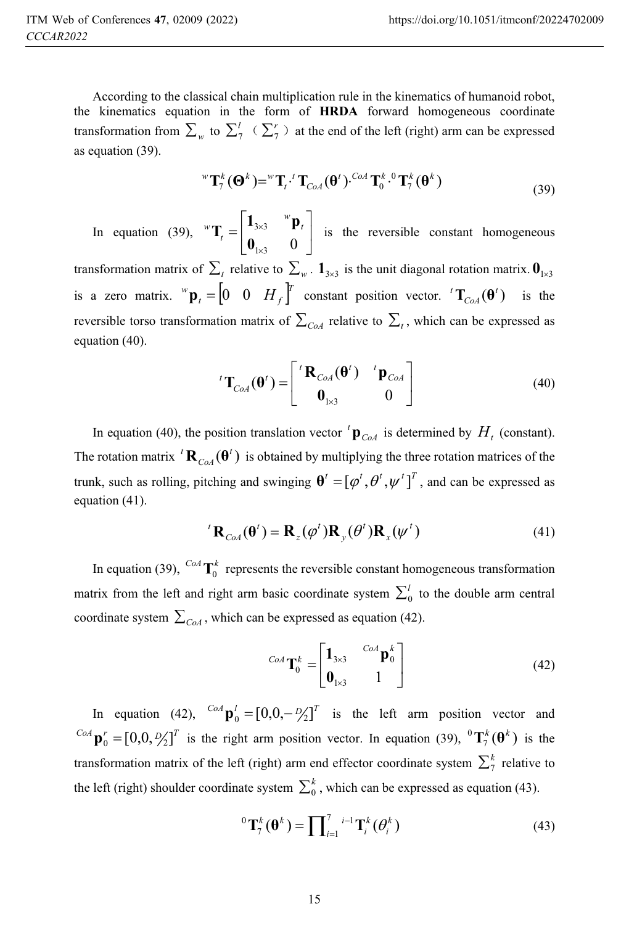According to the classical chain multiplication rule in the kinematics of humanoid robot, the kinematics equation in the form of **HRDA** forward homogeneous coordinate transformation from  $\sum_{w}$  to  $\sum_{i=1}^{l}$   $\langle \sum_{i=1}^{r} \rangle$  at the end of the left (right) arm can be expressed as equation (39).

$$
{}^{w}\mathbf{T}_{7}^{k}(\mathbf{\Theta}^{k}) = {}^{w}\mathbf{T}_{t} \cdot {}^{t}\mathbf{T}_{Cod}(\mathbf{\Theta}^{t}) \cdot {}^{Cod}\mathbf{T}_{0}^{k} \cdot {}^{0}\mathbf{T}_{7}^{k}(\mathbf{\Theta}^{k})
$$
\n(39)

In equation (39),  ${}^w\mathbf{T}_t = \begin{bmatrix} -3\times3 & \mathbf{P}_t \\ 0 & 0 \end{bmatrix}$  $\overline{\phantom{a}}$  $\begin{bmatrix} 1_{3\times 3} & ^{w}p_{t} \end{bmatrix}$  $\mathbf{r}$  $\overline{a}$ % %  $1\times 3$  0  $3\times 3$ **0**  $\mathbf{T}_t = \begin{bmatrix} \mathbf{1}_{3\times 3} & ^{w} \mathbf{p}_t \\ \mathbf{0} & \mathbf{0} \end{bmatrix}$  $\mathbf{T}_t = \begin{bmatrix} \mathbf{I}_{3\times 3} & \mathbf{P}_t \\ \mathbf{0} & \mathbf{0} \end{bmatrix}$  is the reversible constant homogeneous

transformation matrix of  $\sum_{t}$  relative to  $\sum_{w}$ .  $\mathbf{1}_{3\times 3}$  is the unit diagonal rotation matrix.  $\mathbf{0}_{1\times 3}$ is a zero matrix.  ${}^w \mathbf{p}_t = \begin{bmatrix} 0 & 0 & H_f \end{bmatrix}^T$  constant position vector.  ${}^t \mathbf{T}_{C \circ A}(\mathbf{\theta}^t)$ *CoA*  ${}^{t}T_{\text{CoA}}(\theta^{t})$  is the reversible torso transformation matrix of  $\sum_{C \in \mathcal{A}}$  relative to  $\sum_{t}$ , which can be expressed as equation (40).

$$
{}^{t}\mathbf{T}_{CoA}(\mathbf{\theta}') = \begin{bmatrix} {}^{t}\mathbf{R}_{CoA}(\mathbf{\theta}') & {}^{t}\mathbf{p}_{CoA} \\ \mathbf{0}_{1\times 3} & 0 \end{bmatrix}
$$
(40)

In equation (40), the position translation vector  ${}^t{\bf p}_{CoA}$  is determined by  $H_t$  (constant). The rotation matrix  ${}^{t}$ **R**<sub>CoA</sub> $(\theta^t)$ *CoA*  ${}^{t}$ **R**<sub>*CoA*</sub>( $\theta$ <sup>*t*</sup>) is obtained by multiplying the three rotation matrices of the trunk, such as rolling, pitching and swinging  $\boldsymbol{\theta}^t = [\varphi^t, \theta^t, \psi^t]^T$ , and can be expressed as equation (41).

$$
{}^{t}\mathbf{R}_{\text{CoA}}(\mathbf{\theta}') = \mathbf{R}_{z}(\varphi')\mathbf{R}_{y}(\theta')\mathbf{R}_{x}(\psi')
$$
\n(41)

In equation (39), <sup>CoA</sup>  $\mathbf{T}_0^k$  represents the reversible constant homogeneous transformation matrix from the left and right arm basic coordinate system  $\sum_{0}^{l}$  to the double arm central coordinate system  $\sum_{CoA}$ , which can be expressed as equation (42).

$$
^{CoA}\mathbf{T}_0^k = \begin{bmatrix} \mathbf{1}_{3\times 3} & ^{CoA}\mathbf{p}_0^k \\ \mathbf{0}_{1\times 3} & 1 \end{bmatrix} \tag{42}
$$

In equation (42),  $C_0A \mathbf{p}_0^T = [0,0, -\frac{D}{2}]^T$  is the left arm position vector and  $C_{0A}$  **p**<sup>*r*</sup></sup>  $=$   $[0,0, \frac{D}{2}]^T$  is the right arm position vector. In equation (39),  ${}^0T_7^k(\theta^k)$  is the transformation matrix of the left (right) arm end effector coordinate system  $\sum_{i=1}^{k}$  relative to the left (right) shoulder coordinate system  $\sum_{0}^{k}$ , which can be expressed as equation (43).

$$
{}^{0}\mathbf{T}_{7}^{k}(\boldsymbol{\theta}^{k}) = \prod_{i=1}^{7} {}^{i-1}\mathbf{T}_{i}^{k}(\theta_{i}^{k})
$$
\n(43)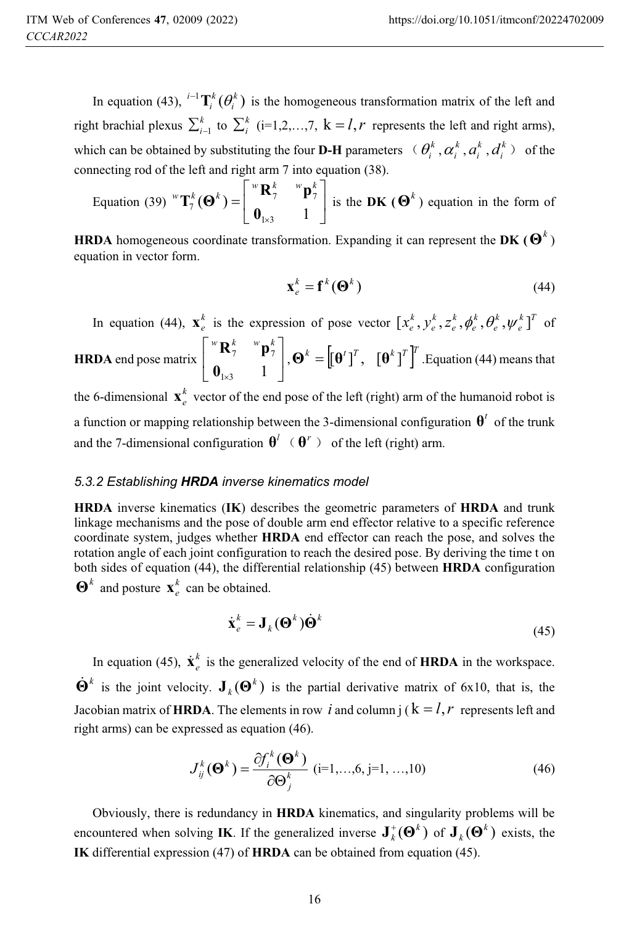In equation (43),  $^{i-1}$ **T**<sup>*k*</sup> $(\theta_i^k)$ *k*  $i^{-1}$ **T**<sup>*k*</sup> ( $\theta_i^k$ ) is the homogeneous transformation matrix of the left and right brachial plexus  $\sum_{i=1}^{k}$  to  $\sum_{i=1}^{k}$  (i=1,2,...,7, k = *l*,*r* represents the left and right arms), which can be obtained by substituting the four **D-H** parameters  $\theta_i^k$ ,  $\alpha_i^k$ ,  $a_i^k$ ,  $d_i^k$ ) of the connecting rod of the left and right arm 7 into equation (38).

Equation (39)  ${}^w\mathbf{T}_7^k(\mathbf{\Theta}^k) = \begin{bmatrix} 1 & 1 \\ 0 & 1 \end{bmatrix}$  $\overline{\phantom{a}}$  $\begin{bmatrix} {}^{w} \mathbf{R}^{k}_{7} & {}^{w} \mathbf{p}^{k}_{7} \end{bmatrix}$  $\mathsf{L}$  $=$  $(\mathbf{\Theta}^k)$  =  $\begin{bmatrix} \mathbf{a}^k \\ \mathbf{0}_{1 \times 3} \end{bmatrix}$  =  $\begin{bmatrix} \mathbf{b}^k \\ \mathbf{0}_{1 \times 3} \end{bmatrix}$ 7 7  $7^{\circ}$ <sup>0</sup>  $\left| \right|$  0  $\mathbf{T}_7^k(\mathbf{\Theta}^k) = \begin{bmatrix} {}^w\mathbf{R}_7^k & {}^w\mathbf{p}_7^k \ {} & {}^w\mathbf{p}_7^k \end{bmatrix}$  $\mathbf{T}_7^k(\mathbf{\Theta}^k) = \begin{bmatrix} \mathbf{R}_7 & \mathbf{P}_7 \\ \mathbf{R}_8 & \mathbf{R}_9 \end{bmatrix}$  is the DK ( $\mathbf{\Theta}^k$ ) equation in the form of

**HRDA** homogeneous coordinate transformation. Expanding it can represent the **DK** ( $\mathbf{\Theta}^k$ ) equation in vector form.

$$
\mathbf{x}_e^k = \mathbf{f}^k(\mathbf{\Theta}^k) \tag{44}
$$

In equation (44),  $\mathbf{x}_e^k$  is the expression of pose vector  $\left[x_e^k, y_e^k, z_e^k, \phi_e^k, \theta_e^k, \psi_e^k\right]^T$ *k e k e k e k e*  $[x_e^k, y_e^k, z_e^k, \phi_e^k, \theta_e^k, \psi_e^k]^T$  of

#### **HRDA** end pose matrix  $\begin{bmatrix} 1 & 1 \\ 1 & 1 \end{bmatrix}$  $\overline{\phantom{a}}$  $\begin{bmatrix} {}^{w} \mathbf{R}_{7}^{k} & {}^{w} \mathbf{p}_{7}^{k} \end{bmatrix}$  $\mathsf{L}$  $\lceil$  $1 \times 3$  1 7 7 **0**  $\begin{bmatrix} \n\mathbf{R}^k & \mathbf{P}^k \\ \n\mathbf{P}^k & \mathbf{P}^k \n\end{bmatrix}, \mathbf{\Theta}^k = \left[ [\mathbf{\Theta}^t]^T, \quad [\mathbf{\Theta}^k]^T \right]^T$ . Equation (44) means that

the 6-dimensional  $\mathbf{x}^k$  vector of the end pose of the left (right) arm of the humanoid robot is a function or mapping relationship between the 3-dimensional configuration  $\theta^t$  of the trunk and the 7-dimensional configuration  $\theta^l$   $(\theta^r)$  of the left (right) arm.

#### *5.3.2 Establishing HRDA inverse kinematics model*

**HRDA** inverse kinematics (**IK**) describes the geometric parameters of **HRDA** and trunk linkage mechanisms and the pose of double arm end effector relative to a specific reference coordinate system, judges whether **HRDA** end effector can reach the pose, and solves the rotation angle of each joint configuration to reach the desired pose. By deriving the time t on both sides of equation (44), the differential relationship (45) between **HRDA** configuration  $\mathbf{\Theta}^k$  and posture  $\mathbf{x}_e^k$  can be obtained.

$$
\dot{\mathbf{x}}_e^k = \mathbf{J}_k(\mathbf{\Theta}^k)\dot{\mathbf{\Theta}}^k
$$
\n(45)

In equation (45),  $\dot{\mathbf{x}}_e^k$  is the generalized velocity of the end of **HRDA** in the workspace.  $\dot{\mathbf{\Theta}}^k$  is the joint velocity.  $\mathbf{J}_k(\mathbf{\Theta}^k)$  is the partial derivative matrix of 6x10, that is, the Jacobian matrix of **HRDA**. The elements in row *i* and column  $i$  ( $k = l$ , *r* represents left and right arms) can be expressed as equation (46).

$$
J_{ij}^{k}(\mathbf{\Theta}^{k}) = \frac{\partial f_{i}^{k}(\mathbf{\Theta}^{k})}{\partial \mathbf{\Theta}_{j}^{k}} \quad (i=1,\ldots,6, j=1,\ldots,10)
$$
 (46)

Obviously, there is redundancy in **HRDA** kinematics, and singularity problems will be encountered when solving IK. If the generalized inverse  $J_k^*(\mathbf{\Theta}^k)$  of  $J_k(\mathbf{\Theta}^k)$  exists, the **IK** differential expression (47) of **HRDA** can be obtained from equation (45).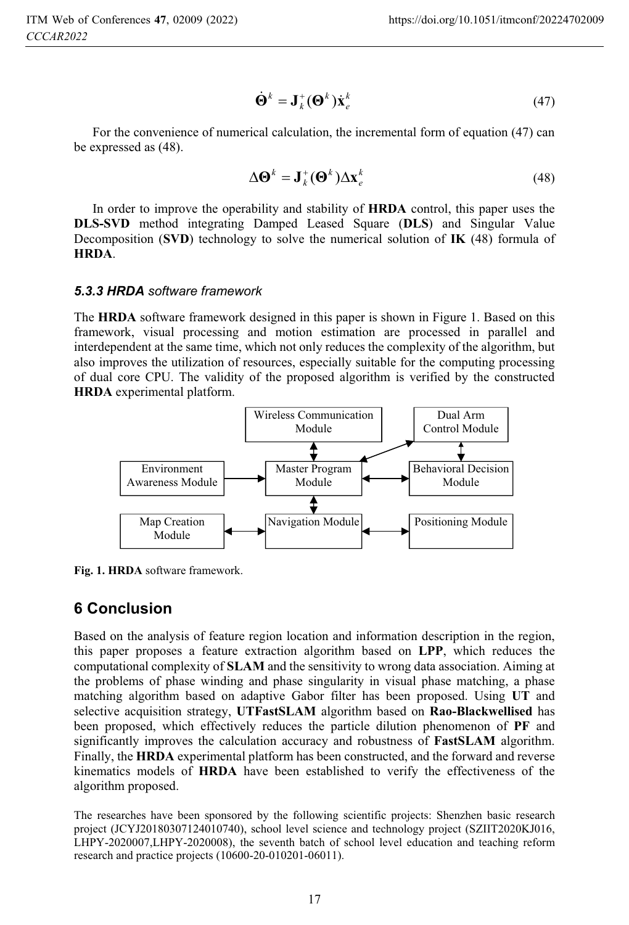$$
\dot{\mathbf{\Theta}}^k = \mathbf{J}_k^+(\mathbf{\Theta}^k)\dot{\mathbf{x}}_e^k \tag{47}
$$

For the convenience of numerical calculation, the incremental form of equation (47) can be expressed as (48).

$$
\Delta \mathbf{\Theta}^k = \mathbf{J}_k^+(\mathbf{\Theta}^k) \Delta \mathbf{x}_e^k
$$
 (48)

In order to improve the operability and stability of **HRDA** control, this paper uses the **DLS-SVD** method integrating Damped Leased Square (**DLS**) and Singular Value Decomposition (**SVD**) technology to solve the numerical solution of **IK** (48) formula of **HRDA**.

#### *5.3.3 HRDA software framework*

The **HRDA** software framework designed in this paper is shown in Figure 1. Based on this framework, visual processing and motion estimation are processed in parallel and interdependent at the same time, which not only reduces the complexity of the algorithm, but also improves the utilization of resources, especially suitable for the computing processing of dual core CPU. The validity of the proposed algorithm is verified by the constructed **HRDA** experimental platform.



**Fig. 1. HRDA** software framework.

## **6 Conclusion**

Based on the analysis of feature region location and information description in the region, this paper proposes a feature extraction algorithm based on **LPP**, which reduces the computational complexity of **SLAM** and the sensitivity to wrong data association. Aiming at the problems of phase winding and phase singularity in visual phase matching, a phase matching algorithm based on adaptive Gabor filter has been proposed. Using **UT** and selective acquisition strategy, **UTFastSLAM** algorithm based on **Rao-Blackwellised** has been proposed, which effectively reduces the particle dilution phenomenon of **PF** and significantly improves the calculation accuracy and robustness of **FastSLAM** algorithm. Finally, the **HRDA** experimental platform has been constructed, and the forward and reverse kinematics models of **HRDA** have been established to verify the effectiveness of the algorithm proposed.

The researches have been sponsored by the following scientific projects: Shenzhen basic research project (JCYJ20180307124010740), school level science and technology project (SZIIT2020KJ016, LHPY-2020007,LHPY-2020008), the seventh batch of school level education and teaching reform research and practice projects (10600-20-010201-06011).